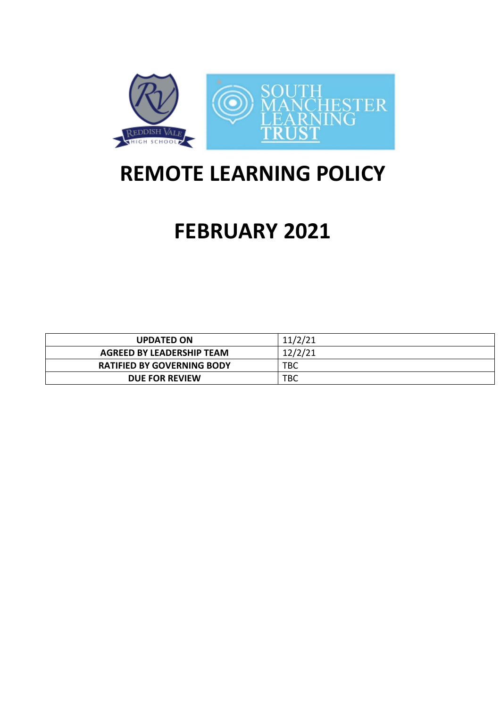

## **REMOTE LEARNING POLICY**

# **FEBRUARY 2021**

| <b>UPDATED ON</b>                 | 11/2/21 |
|-----------------------------------|---------|
| AGREED BY LEADERSHIP TEAM         | 12/2/21 |
| <b>RATIFIED BY GOVERNING BODY</b> | TBC     |
| <b>DUE FOR REVIEW</b>             | твс     |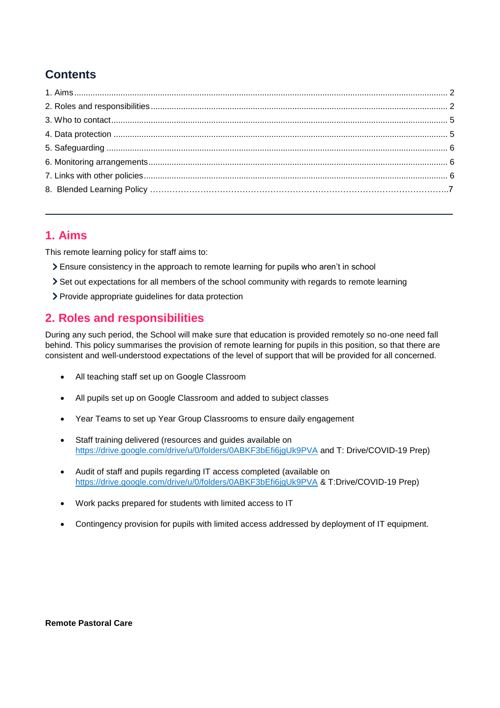## **Contents**

## <span id="page-1-0"></span>**1. Aims**

This remote learning policy for staff aims to:

- Ensure consistency in the approach to remote learning for pupils who aren't in school
- Set out expectations for all members of the school community with regards to remote learning
- > Provide appropriate guidelines for data protection

## <span id="page-1-1"></span>**2. Roles and responsibilities**

During any such period, the School will make sure that education is provided remotely so no-one need fall behind. This policy summarises the provision of remote learning for pupils in this position, so that there are consistent and well-understood expectations of the level of support that will be provided for all concerned.

- All teaching staff set up on Google Classroom
- All pupils set up on Google Classroom and added to subject classes
- Year Teams to set up Year Group Classrooms to ensure daily engagement
- Staff training delivered (resources and guides available on <https://drive.google.com/drive/u/0/folders/0ABKF3bEfi6jgUk9PVA> and T: Drive/COVID-19 Prep)
- Audit of staff and pupils regarding IT access completed (available on <https://drive.google.com/drive/u/0/folders/0ABKF3bEfi6jgUk9PVA> & T:Drive/COVID-19 Prep)
- Work packs prepared for students with limited access to IT
- Contingency provision for pupils with limited access addressed by deployment of IT equipment.

#### **Remote Pastoral Care**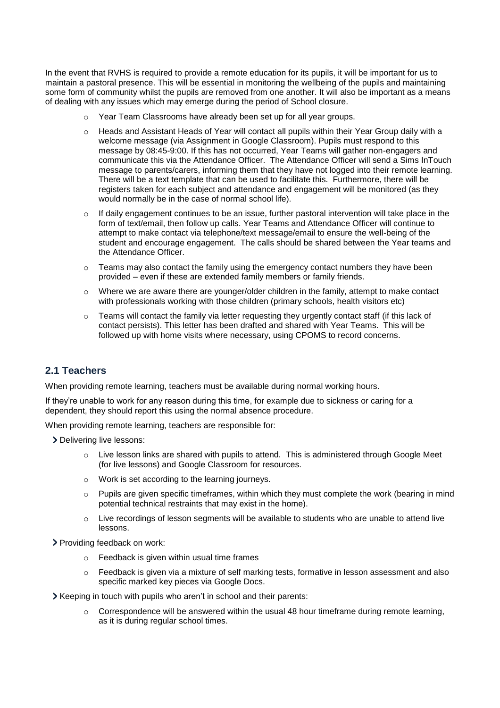In the event that RVHS is required to provide a remote education for its pupils, it will be important for us to maintain a pastoral presence. This will be essential in monitoring the wellbeing of the pupils and maintaining some form of community whilst the pupils are removed from one another. It will also be important as a means of dealing with any issues which may emerge during the period of School closure.

- o Year Team Classrooms have already been set up for all year groups.
- o Heads and Assistant Heads of Year will contact all pupils within their Year Group daily with a welcome message (via Assignment in Google Classroom). Pupils must respond to this message by 08:45-9:00. If this has not occurred, Year Teams will gather non-engagers and communicate this via the Attendance Officer. The Attendance Officer will send a Sims InTouch message to parents/carers, informing them that they have not logged into their remote learning. There will be a text template that can be used to facilitate this. Furthermore, there will be registers taken for each subject and attendance and engagement will be monitored (as they would normally be in the case of normal school life).
- $\circ$  If daily engagement continues to be an issue, further pastoral intervention will take place in the form of text/email, then follow up calls. Year Teams and Attendance Officer will continue to attempt to make contact via telephone/text message/email to ensure the well-being of the student and encourage engagement. The calls should be shared between the Year teams and the Attendance Officer.
- $\circ$  Teams may also contact the family using the emergency contact numbers they have been provided – even if these are extended family members or family friends.
- $\circ$  Where we are aware there are younger/older children in the family, attempt to make contact with professionals working with those children (primary schools, health visitors etc)
- $\circ$  Teams will contact the family via letter requesting they urgently contact staff (if this lack of contact persists). This letter has been drafted and shared with Year Teams. This will be followed up with home visits where necessary, using CPOMS to record concerns.

#### **2.1 Teachers**

When providing remote learning, teachers must be available during normal working hours.

If they're unable to work for any reason during this time, for example due to sickness or caring for a dependent, they should report this using the normal absence procedure.

When providing remote learning, teachers are responsible for:

> Delivering live lessons:

- $\circ$  Live lesson links are shared with pupils to attend. This is administered through Google Meet (for live lessons) and Google Classroom for resources.
- o Work is set according to the learning journeys.
- $\circ$  Pupils are given specific timeframes, within which they must complete the work (bearing in mind potential technical restraints that may exist in the home).
- o Live recordings of lesson segments will be available to students who are unable to attend live lessons.
- > Providing feedback on work:
	- o Feedback is given within usual time frames
	- o Feedback is given via a mixture of self marking tests, formative in lesson assessment and also specific marked key pieces via Google Docs.
- Xeeping in touch with pupils who aren't in school and their parents:
	- Correspondence will be answered within the usual 48 hour timeframe during remote learning, as it is during regular school times.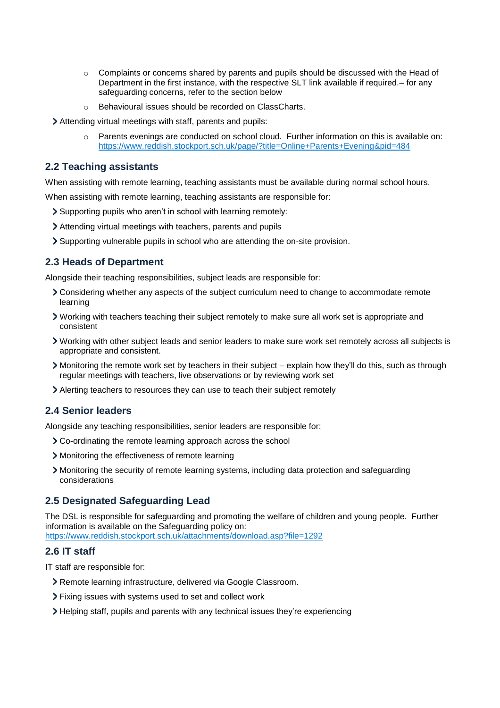- $\circ$  Complaints or concerns shared by parents and pupils should be discussed with the Head of Department in the first instance, with the respective SLT link available if required.– for any safeguarding concerns, refer to the section below
- o Behavioural issues should be recorded on ClassCharts.
- Attending virtual meetings with staff, parents and pupils:
	- Parents evenings are conducted on school cloud. Further information on this is available on: <https://www.reddish.stockport.sch.uk/page/?title=Online+Parents+Evening&pid=484>

#### **2.2 Teaching assistants**

When assisting with remote learning, teaching assistants must be available during normal school hours.

When assisting with remote learning, teaching assistants are responsible for:

- Supporting pupils who aren't in school with learning remotely:
- Attending virtual meetings with teachers, parents and pupils
- Supporting vulnerable pupils in school who are attending the on-site provision.

#### **2.3 Heads of Department**

Alongside their teaching responsibilities, subject leads are responsible for:

- Considering whether any aspects of the subject curriculum need to change to accommodate remote learning
- Working with teachers teaching their subject remotely to make sure all work set is appropriate and consistent
- Working with other subject leads and senior leaders to make sure work set remotely across all subjects is appropriate and consistent.
- Monitoring the remote work set by teachers in their subject explain how they'll do this, such as through regular meetings with teachers, live observations or by reviewing work set
- Alerting teachers to resources they can use to teach their subject remotely

#### **2.4 Senior leaders**

Alongside any teaching responsibilities, senior leaders are responsible for:

- Co-ordinating the remote learning approach across the school
- Monitoring the effectiveness of remote learning
- Monitoring the security of remote learning systems, including data protection and safeguarding considerations

#### **2.5 Designated Safeguarding Lead**

The DSL is responsible for safeguarding and promoting the welfare of children and young people. Further information is available on the Safeguarding policy on:

<https://www.reddish.stockport.sch.uk/attachments/download.asp?file=1292>

#### **2.6 IT staff**

IT staff are responsible for:

- Remote learning infrastructure, delivered via Google Classroom.
- Fixing issues with systems used to set and collect work
- Helping staff, pupils and parents with any technical issues they're experiencing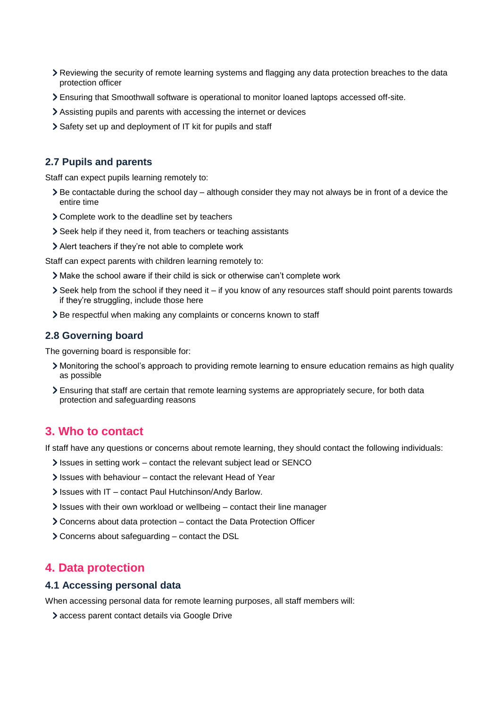- Reviewing the security of remote learning systems and flagging any data protection breaches to the data protection officer
- Ensuring that Smoothwall software is operational to monitor loaned laptops accessed off-site.
- Assisting pupils and parents with accessing the internet or devices
- Safety set up and deployment of IT kit for pupils and staff

#### **2.7 Pupils and parents**

Staff can expect pupils learning remotely to:

- $\geq$  Be contactable during the school day although consider they may not always be in front of a device the entire time
- Complete work to the deadline set by teachers
- Seek help if they need it, from teachers or teaching assistants
- Alert teachers if they're not able to complete work

Staff can expect parents with children learning remotely to:

- Make the school aware if their child is sick or otherwise can't complete work
- Seek help from the school if they need it if you know of any resources staff should point parents towards if they're struggling, include those here
- > Be respectful when making any complaints or concerns known to staff

#### **2.8 Governing board**

The governing board is responsible for:

- Monitoring the school's approach to providing remote learning to ensure education remains as high quality as possible
- Ensuring that staff are certain that remote learning systems are appropriately secure, for both data protection and safeguarding reasons

#### <span id="page-4-0"></span>**3. Who to contact**

If staff have any questions or concerns about remote learning, they should contact the following individuals:

- Issues in setting work contact the relevant subject lead or SENCO
- If Issues with behaviour contact the relevant Head of Year
- Issues with IT contact Paul Hutchinson/Andy Barlow.
- Issues with their own workload or wellbeing contact their line manager
- Concerns about data protection contact the Data Protection Officer
- Concerns about safeguarding contact the DSL

## <span id="page-4-1"></span>**4. Data protection**

#### **4.1 Accessing personal data**

When accessing personal data for remote learning purposes, all staff members will:

access parent contact details via Google Drive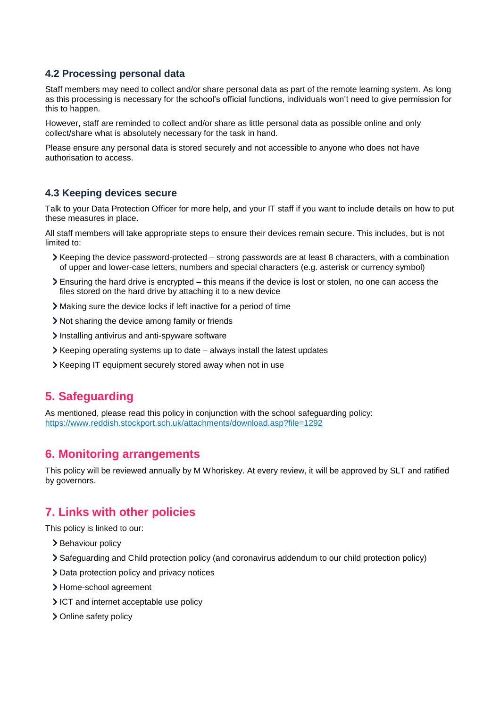#### **4.2 Processing personal data**

Staff members may need to collect and/or share personal data as part of the remote learning system. As long as this processing is necessary for the school's official functions, individuals won't need to give permission for this to happen.

However, staff are reminded to collect and/or share as little personal data as possible online and only collect/share what is absolutely necessary for the task in hand.

Please ensure any personal data is stored securely and not accessible to anyone who does not have authorisation to access.

#### **4.3 Keeping devices secure**

Talk to your Data Protection Officer for more help, and your IT staff if you want to include details on how to put these measures in place.

All staff members will take appropriate steps to ensure their devices remain secure. This includes, but is not limited to:

- $\blacktriangleright$  Keeping the device password-protected strong passwords are at least 8 characters, with a combination of upper and lower-case letters, numbers and special characters (e.g. asterisk or currency symbol)
- Ensuring the hard drive is encrypted this means if the device is lost or stolen, no one can access the files stored on the hard drive by attaching it to a new device
- Making sure the device locks if left inactive for a period of time
- Not sharing the device among family or friends
- Installing antivirus and anti-spyware software
- $\blacktriangleright$  Keeping operating systems up to date always install the latest updates
- Xeeping IT equipment securely stored away when not in use

#### <span id="page-5-0"></span>**5. Safeguarding**

As mentioned, please read this policy in conjunction with the school safeguarding policy: <https://www.reddish.stockport.sch.uk/attachments/download.asp?file=1292>

#### <span id="page-5-1"></span>**6. Monitoring arrangements**

This policy will be reviewed annually by M Whoriskey. At every review, it will be approved by SLT and ratified by governors.

#### <span id="page-5-2"></span>**7. Links with other policies**

This policy is linked to our:

- > Behaviour policy
- Safeguarding and Child protection policy (and coronavirus addendum to our child protection policy)
- > Data protection policy and privacy notices
- > Home-school agreement
- ICT and internet acceptable use policy
- > Online safety policy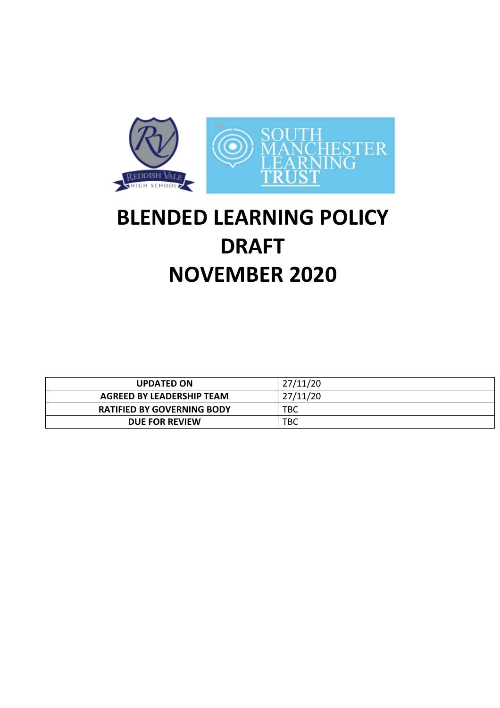

# **BLENDED LEARNING POLICY DRAFT NOVEMBER 2020**

| <b>UPDATED ON</b>                 | 27/11/20   |
|-----------------------------------|------------|
| <b>AGREED BY LEADERSHIP TEAM</b>  | 27/11/20   |
| <b>RATIFIED BY GOVERNING BODY</b> | <b>TBC</b> |
| DUE FOR REVIEW                    | TBC        |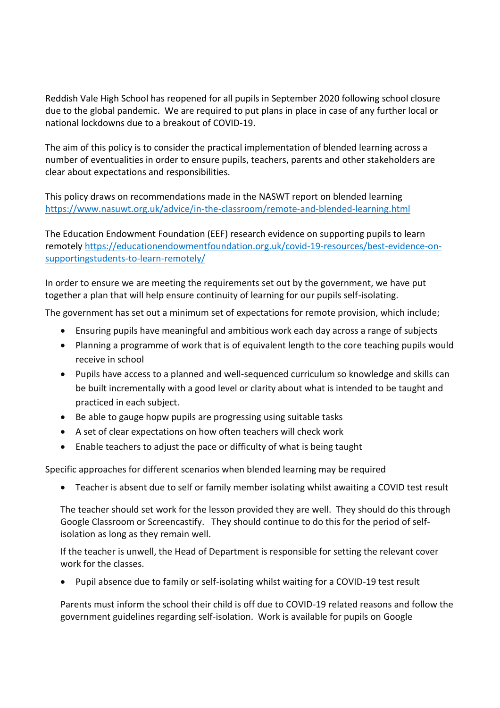Reddish Vale High School has reopened for all pupils in September 2020 following school closure due to the global pandemic. We are required to put plans in place in case of any further local or national lockdowns due to a breakout of COVID-19.

The aim of this policy is to consider the practical implementation of blended learning across a number of eventualities in order to ensure pupils, teachers, parents and other stakeholders are clear about expectations and responsibilities.

This policy draws on recommendations made in the NASWT report on blended learning <https://www.nasuwt.org.uk/advice/in-the-classroom/remote-and-blended-learning.html>

The Education Endowment Foundation (EEF) research evidence on supporting pupils to learn remotely [https://educationendowmentfoundation.org.uk/covid-19-resources/best-evidence-on](https://educationendowmentfoundation.org.uk/covid-19-resources/best-evidence-on-supportingstudents-to-learn-remotely/)[supportingstudents-to-learn-remotely/](https://educationendowmentfoundation.org.uk/covid-19-resources/best-evidence-on-supportingstudents-to-learn-remotely/)

In order to ensure we are meeting the requirements set out by the government, we have put together a plan that will help ensure continuity of learning for our pupils self-isolating.

The government has set out a minimum set of expectations for remote provision, which include;

- Ensuring pupils have meaningful and ambitious work each day across a range of subjects
- Planning a programme of work that is of equivalent length to the core teaching pupils would receive in school
- Pupils have access to a planned and well-sequenced curriculum so knowledge and skills can be built incrementally with a good level or clarity about what is intended to be taught and practiced in each subject.
- Be able to gauge hopw pupils are progressing using suitable tasks
- A set of clear expectations on how often teachers will check work
- Enable teachers to adjust the pace or difficulty of what is being taught

Specific approaches for different scenarios when blended learning may be required

Teacher is absent due to self or family member isolating whilst awaiting a COVID test result

The teacher should set work for the lesson provided they are well. They should do this through Google Classroom or Screencastify. They should continue to do this for the period of selfisolation as long as they remain well.

If the teacher is unwell, the Head of Department is responsible for setting the relevant cover work for the classes.

Pupil absence due to family or self-isolating whilst waiting for a COVID-19 test result

Parents must inform the school their child is off due to COVID-19 related reasons and follow the government guidelines regarding self-isolation. Work is available for pupils on Google